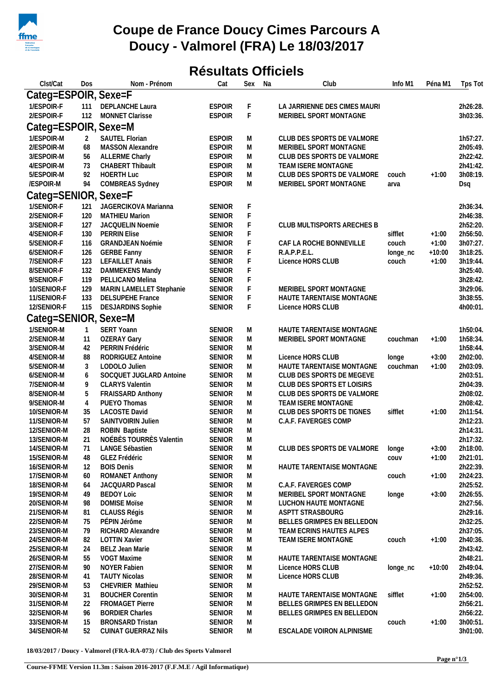

## **Coupe de France Doucy Cimes Parcours A Doucy - Valmorel (FRA) Le 18/03/2017**

## **Résultats Officiels**

| Clst/Cat             | Dos            | Nom - Prénom               | Cat           | Sex         | Na | Club                             | Info M1  | Péna M1  | Tps Tot  |
|----------------------|----------------|----------------------------|---------------|-------------|----|----------------------------------|----------|----------|----------|
| Categ=ESPOIR, Sexe=F |                |                            |               |             |    |                                  |          |          |          |
| 1/ESPOIR-F           | 111            | DEPLANCHE Laura            | <b>ESPOIR</b> | F           |    | LA JARRIENNE DES CIMES MAURI     |          |          | 2h26:28. |
| 2/ESPOIR-F           | 112            | MONNET Clarisse            | <b>ESPOIR</b> | $\mathsf F$ |    | MERIBEL SPORT MONTAGNE           |          |          | 3h03:36. |
| Categ=ESPOIR, Sexe=M |                |                            |               |             |    |                                  |          |          |          |
|                      |                |                            |               |             |    |                                  |          |          |          |
| 1/ESPOIR-M           | 2              | SAUTEL Florian             | <b>ESPOIR</b> | M           |    | CLUB DES SPORTS DE VALMORE       |          |          | 1h57:27. |
| 2/ESPOIR-M           | 68             | MASSON Alexandre           | <b>ESPOIR</b> | ${\sf M}$   |    | MERIBEL SPORT MONTAGNE           |          |          | 2h05:49. |
| 3/ESPOIR-M           | 56             | <b>ALLERME Charly</b>      | <b>ESPOIR</b> | M           |    | CLUB DES SPORTS DE VALMORE       |          |          | 2h22:42. |
| 4/ESPOIR-M           | 73             | <b>CHABERT Thibault</b>    | <b>ESPOIR</b> | M           |    | TEAM ISERE MONTAGNE              |          |          | 2h41:42. |
| 5/ESPOIR-M           | 92             | <b>HOERTH Luc</b>          | <b>ESPOIR</b> | M           |    | CLUB DES SPORTS DE VALMORE       | couch    | $+1:00$  | 3h08:19. |
| /ESPOIR-M            | 94             | COMBREAS Sydney            | <b>ESPOIR</b> | M           |    | MERIBEL SPORT MONTAGNE           | arva     |          | Dsq      |
| Categ=SENIOR, Sexe=F |                |                            |               |             |    |                                  |          |          |          |
| 1/SENIOR-F           | 121            | JAGERCIKOVA Marianna       | <b>SENIOR</b> | F           |    |                                  |          |          | 2h36:34. |
| 2/SENIOR-F           | 120            | <b>MATHIEU Marion</b>      | <b>SENIOR</b> | $\mathsf F$ |    |                                  |          |          | 2h46:38. |
| 3/SENIOR-F           | 127            | JACQUELIN Noemie           | <b>SENIOR</b> | F           |    | CLUB MULTISPORTS ARECHES B       |          |          | 2h52:20. |
| 4/SENIOR-F           | 130            | <b>PERRIN Elise</b>        | <b>SENIOR</b> | F           |    |                                  | sifflet  | $+1:00$  | 2h56:50. |
| 5/SENIOR-F           | 116            | <b>GRANDJEAN Noémie</b>    | <b>SENIOR</b> | F           |    | CAF LA ROCHE BONNEVILLE          | couch    | $+1:00$  | 3h07:27. |
| 6/SENIOR-F           | 126            | <b>GERBE Fanny</b>         | <b>SENIOR</b> | F           |    | R.A.P.P.E.L.                     | longe_nc | $+10:00$ | 3h18:25. |
| 7/SENIOR-F           | 123            | <b>LEFAILLET Anais</b>     | <b>SENIOR</b> | F           |    | Licence HORS CLUB                | couch    | $+1:00$  | 3h19:44. |
| 8/SENIOR-F           | 132            | DAMMEKENS Mandy            | <b>SENIOR</b> | F           |    |                                  |          |          | 3h25:40. |
| 9/SENIOR-F           | 119            | PELLICANO Melina           | <b>SENIOR</b> | F           |    |                                  |          |          | 3h28:42. |
| 10/SENIOR-F          | 129            | MARIN LAMELLET Stephanie   | <b>SENIOR</b> | F           |    | MERIBEL SPORT MONTAGNE           |          |          | 3h29:06. |
| 11/SENIOR-F          | 133            | <b>DELSUPEHE France</b>    | <b>SENIOR</b> | F           |    | HAUTE TARENTAISE MONTAGNE        |          |          | 3h38:55. |
| 12/SENIOR-F          | 115            | <b>DESJARDINS Sophie</b>   | <b>SENIOR</b> | F           |    | Licence HORS CLUB                |          |          | 4h00:01. |
| Categ=SENIOR, Sexe=M |                |                            |               |             |    |                                  |          |          |          |
| 1/SENIOR-M           | $\mathbf{1}$   | SERT Yoann                 | <b>SENIOR</b> | M           |    | HAUTE TARENTAISE MONTAGNE        |          |          | 1h50:04. |
| 2/SENIOR-M           | 11             | <b>OZERAY Gary</b>         | <b>SENIOR</b> | M           |    | MERIBEL SPORT MONTAGNE           | couchman | $+1:00$  | 1h58:34. |
| 3/SENIOR-M           | 42             | PERRIN Frédéric            | <b>SENIOR</b> | M           |    |                                  |          |          | 1h58:44. |
| 4/SENIOR-M           | 88             | RODRIGUEZ Antoine          | <b>SENIOR</b> | M           |    | Licence HORS CLUB                | longe    | $+3:00$  | 2h02:00. |
| 5/SENIOR-M           | 3              | LODOLO Julien              | <b>SENIOR</b> | M           |    | HAUTE TARENTAISE MONTAGNE        | couchman | $+1:00$  | 2h03:09. |
| 6/SENIOR-M           | 6              | SOCQUET JUGLARD Antoine    | <b>SENIOR</b> | ${\sf M}$   |    | CLUB DES SPORTS DE MEGEVE        |          |          | 2h03:51. |
| 7/SENIOR-M           | 9              | <b>CLARYS Valentin</b>     | <b>SENIOR</b> | ${\sf M}$   |    | CLUB DES SPORTS ET LOISIRS       |          |          | 2h04:39. |
| 8/SENIOR-M           | 5              | <b>FRAISSARD Anthony</b>   | <b>SENIOR</b> | M           |    | CLUB DES SPORTS DE VALMORE       |          |          | 2h08:02. |
| 9/SENIOR-M           | $\overline{4}$ | PUEYO Thomas               | <b>SENIOR</b> | M           |    | TEAM ISERE MONTAGNE              |          |          | 2h08:42. |
| 10/SENIOR-M          | 35             | <b>LACOSTE David</b>       | <b>SENIOR</b> | M           |    | CLUB DES SPORTS DE TIGNES        | sifflet  | $+1:00$  | 2h11:54. |
| 11/SENIOR-M          | 57             | SAINTVOIRIN Julien         | SENIOR        | M           |    | C.A.F. FAVERGES COMP             |          |          | 2h12:23. |
| 12/SENIOR-M          | 28             | ROBIN Baptiste             | <b>SENIOR</b> | M           |    |                                  |          |          | 2h14:31. |
| 13/SENIOR-M          | 21             | NOÉBÈS TOURRÈS Valentin    | <b>SENIOR</b> | ${\sf M}$   |    |                                  |          |          | 2h17:32. |
| 14/SENIOR-M          | 71             | LANGE Sébastien            | <b>SENIOR</b> | M           |    | CLUB DES SPORTS DE VALMORE longe |          | $+3:00$  | 2h18:00. |
| 15/SENIOR-M          | 48             | GLEZ Frédéric              | <b>SENIOR</b> | M           |    |                                  | COUV     | $+1:00$  | 2h21:01. |
| 16/SENIOR-M          | 12             | <b>BOIS Denis</b>          | <b>SENIOR</b> | M           |    | HAUTE TARENTAISE MONTAGNE        |          |          | 2h22:39. |
| 17/SENIOR-M          | 60             | ROMANET Anthony            | <b>SENIOR</b> | M           |    |                                  | couch    | $+1:00$  | 2h24:23. |
| 18/SENIOR-M          | 64             | JACQUARD Pascal            | <b>SENIOR</b> | M           |    | C.A.F. FAVERGES COMP             |          |          | 2h25:52. |
| 19/SENIOR-M          | 49             | <b>BEDOY Loic</b>          | <b>SENIOR</b> | M           |    | MERIBEL SPORT MONTAGNE           | longe    | $+3:00$  | 2h26:55. |
| 20/SENIOR-M          | 98             | <b>DOMISE Moïse</b>        | <b>SENIOR</b> | M           |    | LUCHON HAUTE MONTAGNE            |          |          | 2h27:56. |
| 21/SENIOR-M          | 81             | CLAUSS Régis               | <b>SENIOR</b> | M           |    | ASPTT STRASBOURG                 |          |          | 2h29:16. |
| 22/SENIOR-M          | 75             | PÉPIN Jérôme               | <b>SENIOR</b> | M           |    | BELLES GRIMPES EN BELLEDON       |          |          | 2h32:25. |
| 23/SENIOR-M          | 79             | RICHARD Alexandre          | <b>SENIOR</b> | M           |    | TEAM ECRINS HAUTES ALPES         |          |          | 2h37:05. |
| 24/SENIOR-M          | 82             | <b>LOTTIN Xavier</b>       | <b>SENIOR</b> | M           |    | TEAM ISERE MONTAGNE              | couch    | $+1:00$  | 2h40:36. |
| 25/SENIOR-M          | 24             | BELZ Jean Marie            | <b>SENIOR</b> | M           |    |                                  |          |          | 2h43:42. |
| 26/SENIOR-M          | 55             | VOGT Maxime                | <b>SENIOR</b> | М           |    | HAUTE TARENTAISE MONTAGNE        |          |          | 2h48:21. |
| 27/SENIOR-M          | 90             | <b>NOYER Fabien</b>        | <b>SENIOR</b> | М           |    | Licence HORS CLUB                | longe_nc | $+10:00$ | 2h49:04. |
| 28/SENIOR-M          | 41             | <b>TAUTY Nicolas</b>       | <b>SENIOR</b> | M           |    | Licence HORS CLUB                |          |          | 2h49:36. |
| 29/SENIOR-M          | 53             | CHEVRIER Mathieu           | <b>SENIOR</b> | M           |    |                                  |          |          | 2h52:52. |
| 30/SENIOR-M          | 31             | <b>BOUCHER Corentin</b>    | <b>SENIOR</b> | M           |    | HAUTE TARENTAISE MONTAGNE        | sifflet  | $+1:00$  | 2h54:00. |
| 31/SENIOR-M          | 22             | FROMAGET Pierre            | <b>SENIOR</b> | M           |    | BELLES GRIMPES EN BELLEDON       |          |          | 2h56:21. |
| 32/SENIOR-M          | 96             | <b>BORDIER Charles</b>     | <b>SENIOR</b> | M           |    | BELLES GRIMPES EN BELLEDON       |          |          | 2h56:22. |
| 33/SENIOR-M          | 15             | <b>BRONSARD Tristan</b>    | <b>SENIOR</b> | М           |    |                                  | couch    | $+1:00$  | 3h00:51. |
| 34/SENIOR-M          | 52             | <b>CUINAT GUERRAZ Nils</b> | <b>SENIOR</b> | М           |    | ESCALADE VOIRON ALPINISME        |          |          | 3h01:00. |

**18/03/2017 / Doucy - Valmorel (FRA-RA-073) / Club des Sports Valmorel**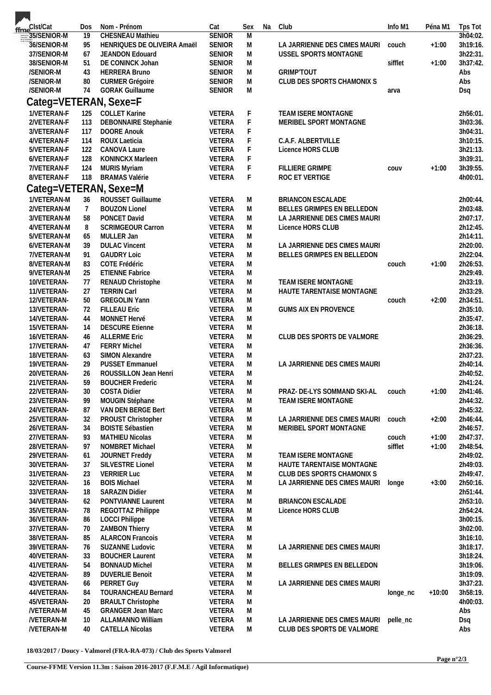| fme <sup>Clst/Cat</sup>         | Dos             | Nom - Prénom                                           | Cat                            | Sex            | Na | Club                         | Info M1  | Péna M1  | Tps Tot            |
|---------------------------------|-----------------|--------------------------------------------------------|--------------------------------|----------------|----|------------------------------|----------|----------|--------------------|
| 35/SENIOR-M                     | $\overline{19}$ | <b>CHESNEAU Mathieu</b>                                | <b>SENIOR</b>                  | $\overline{M}$ |    |                              |          |          | 3h04:02            |
| 36/SENIOR-M                     | 95              | HENRIQUES DE OLIVEIRA Amaël                            | <b>SENIOR</b>                  | M              |    | LA JARRIENNE DES CIMES MAURI | couch    | $+1:00$  | 3h19:16            |
| 37/SENIOR-M                     | 67              | JEANDON Edouard                                        | <b>SENIOR</b>                  | M              |    | USSEL SPORTS MONTAGNE        |          |          | 3h22:31            |
| 38/SENIOR-M                     | 51              | DE CONINCK Johan                                       | <b>SENIOR</b>                  | M              |    |                              | sifflet  | $+1:00$  | 3h37:42            |
| /SENIOR-M                       | 43              | <b>HERRERA Bruno</b>                                   | <b>SENIOR</b>                  | M              |    | <b>GRIMP'TOUT</b>            |          |          | Abs                |
| /SENIOR-M                       | 80              | <b>CURMER Grégoire</b>                                 | <b>SENIOR</b>                  | M              |    | CLUB DES SPORTS CHAMONIX S   |          |          | Abs                |
| /SENIOR-M                       | 74              | <b>GORAK Guillaume</b>                                 | <b>SENIOR</b>                  | M              |    |                              | arva     |          | Dsq                |
| Categ=VETERAN, Sexe=F           |                 |                                                        |                                |                |    |                              |          |          |                    |
| 1/VETERAN-F                     | 125             | <b>COLLET Karine</b>                                   | <b>VETERA</b>                  | F              |    | TEAM ISERE MONTAGNE          |          |          | 2h56:01            |
| 2/VETERAN-F                     | 113             | <b>DEBONNAIRE Stephanie</b>                            | VETERA                         | F              |    | MERIBEL SPORT MONTAGNE       |          |          | 3h03:36            |
| 3/VETERAN-F                     | 117             | <b>DOORE Anouk</b>                                     | VETERA                         | F              |    |                              |          |          | 3h04:31            |
| 4/VETERAN-F                     | 114             | <b>ROUX Laeticia</b>                                   | VETERA                         | F              |    | C.A.F. ALBERTVILLE           |          |          | 3h10:15            |
| 5/VETERAN-F<br>6/VETERAN-F      | 122<br>128      | CANOVA Laure<br>KONINCKX Marleen                       | VETERA<br>VETERA               | F<br>F         |    | Licence HORS CLUB            |          |          | 3h21:13<br>3h39:31 |
| 7/VETERAN-F                     | 124             | <b>MURIS Myriam</b>                                    | VETERA                         | F              |    | FILLIERE GRIMPE              | COUV     | $+1:00$  | 3h39:55            |
| 8/VETERAN-F                     | 118             | <b>BRAMAS Valérie</b>                                  | VETERA                         | F              |    | ROC ET VERTIGE               |          |          | 4h00:01            |
|                                 |                 |                                                        |                                |                |    |                              |          |          |                    |
|                                 |                 | Categ=VETERAN, Sexe=M                                  |                                |                |    |                              |          |          |                    |
| 1/VETERAN-M                     | 36              | ROUSSET Guillaume                                      | <b>VETERA</b>                  | M              |    | BRIANCON ESCALADE            |          |          | 2h00:44            |
| 2/VETERAN-M                     | $\overline{7}$  | <b>BOUZON Lionel</b>                                   | <b>VETERA</b>                  | M              |    | BELLES GRIMPES EN BELLEDON   |          |          | 2h03:48            |
| 3/VETERAN-M                     | 58              | PONCET David                                           | <b>VETERA</b>                  | M              |    | LA JARRIENNE DES CIMES MAURI |          |          | 2h07:17            |
| 4/VETERAN-M                     | 8<br>65         | <b>SCRIMGEOUR Carron</b>                               | <b>VETERA</b>                  | M<br>M         |    | Licence HORS CLUB            |          |          | 2h12:45<br>2h14:11 |
| 5/VETERAN-M<br>6/VETERAN-M      | 39              | MULLER Jan<br><b>DULAC Vincent</b>                     | VETERA<br>VETERA               | M              |    | LA JARRIENNE DES CIMES MAURI |          |          | 2h20:00            |
| 7/VETERAN-M                     | 91              | <b>GAUDRY Loic</b>                                     | <b>VETERA</b>                  | M              |    | BELLES GRIMPES EN BELLEDON   |          |          | 2h22:04            |
| 8/VETERAN-M                     | 83              | COTE Frédéric                                          | VETERA                         | M              |    |                              | couch    | $+1:00$  | 2h26:53            |
| 9/VETERAN-M                     | 25              | <b>ETIENNE Fabrice</b>                                 | VETERA                         | M              |    |                              |          |          | 2h29:49            |
| 10/VETERAN-                     | 77              | RENAUD Christophe                                      | VETERA                         | M              |    | TEAM ISERE MONTAGNE          |          |          | 2h33:19            |
| 11/VETERAN-                     | 27              | <b>TERRIN Carl</b>                                     | <b>VETERA</b>                  | M              |    | HAUTE TARENTAISE MONTAGNE    |          |          | 2h33:29            |
| 12/VETERAN-                     | 50              | <b>GREGOLIN Yann</b>                                   | VETERA                         | M              |    |                              | couch    | $+2:00$  | 2h34:51            |
| 13/VETERAN-                     | 72              | <b>FILLEAU Eric</b>                                    | VETERA                         | M              |    | <b>GUMS AIX EN PROVENCE</b>  |          |          | 2h35:10            |
| 14/VETERAN-                     | 44              | MONNET Hervé                                           | <b>VETERA</b>                  | M              |    |                              |          |          | 2h35:47            |
| 15/VETERAN-                     | 14              | <b>DESCURE Etienne</b>                                 | VETERA                         | M              |    |                              |          |          | 2h36:18            |
| 16/VETERAN-                     | 46              | <b>ALLERME Eric</b>                                    | VETERA                         | M              |    | CLUB DES SPORTS DE VALMORE   |          |          | 2h36:29            |
| 17/VETERAN-                     | 47              | <b>FERRY Michel</b>                                    | <b>VETERA</b>                  | M              |    |                              |          |          | 2h36:36            |
| 18/VETERAN-                     | 63              | SIMON Alexandre                                        | VETERA                         | M              |    |                              |          |          | 2h37:23            |
| 19/VETERAN-                     | 29              | <b>PUSSET Emmanuel</b>                                 | VETERA                         | M              |    | LA JARRIENNE DES CIMES MAURI |          |          | 2h40:14            |
| 20/VETERAN-                     | 26              | ROUSSILLON Jean Henri                                  | <b>VETERA</b>                  | M              |    |                              |          |          | 2h40:52            |
| 21/VETERAN-                     | 59              | <b>BOUCHER Frederic</b>                                | <b>VETERA</b>                  | M              |    |                              |          |          | 2h41:24            |
| 22/VETERAN-                     | 30              | COSTA Didier                                           | VETERA                         | M              |    | PRAZ- DE-LYS SOMMAND SKI-AL  | couch    | $+1:00$  | 2h41:46            |
| 23/VETERAN-                     | 99              | MOUGIN Stéphane                                        | VETERA                         | M              |    | TEAM ISERE MONTAGNE          |          |          | 2h44:32            |
| 24/VETERAN-                     | 87<br>32        | VAN DEN BERGE Bert<br>PROUST Christopher               | <b>VETERA</b><br><b>VETERA</b> | M<br>M         |    | LA JARRIENNE DES CIMES MAURI | couch    | $+2:00$  | 2h45:32            |
| 25/VETERAN-<br>26/VETERAN-      | 34              | <b>BOISTE Sébastien</b>                                | VETERA                         | M              |    | MERIBEL SPORT MONTAGNE       |          |          | 2h46:44<br>2h46:57 |
| 27/VETERAN-                     | 93              | <b>MATHIEU Nicolas</b>                                 | <b>VETERA</b>                  | M              |    |                              | couch    | $+1:00$  | 2h47:37            |
| 28/VETERAN-                     | 97              | NOMBRET Michael                                        | VETERA                         | M              |    |                              | sifflet  | $+1:00$  | 2h48:54            |
| 29/VETERAN-                     | 61              | JOURNET Freddy                                         | <b>VETERA</b>                  | M              |    | TEAM ISERE MONTAGNE          |          |          | 2h49:02            |
| 30/VETERAN-                     | 37              | SILVESTRE Lionel                                       | <b>VETERA</b>                  | M              |    | HAUTE TARENTAISE MONTAGNE    |          |          | 2h49:03            |
| 31/VETERAN-                     | 23              | <b>VERRIER Luc</b>                                     | VETERA                         | M              |    | CLUB DES SPORTS CHAMONIX S   |          |          | 2h49:47            |
| 32/VETERAN-                     | 16              | <b>BOIS Michael</b>                                    | VETERA                         | M              |    | LA JARRIENNE DES CIMES MAURI | longe    | $+3:00$  | 2h50:16            |
| 33/VETERAN-                     | 18              | <b>SARAZIN Didier</b>                                  | VETERA                         | M              |    |                              |          |          | 2h51:44            |
| 34/VETERAN-                     | 62              | PONTVIANNE Laurent                                     | VETERA                         | M              |    | <b>BRIANCON ESCALADE</b>     |          |          | 2h53:10            |
| 35/VETERAN-                     | 78              | REGOTTAZ Philippe                                      | <b>VETERA</b>                  | M              |    | Licence HORS CLUB            |          |          | 2h54:24.           |
| 36/VETERAN-                     | 86              | <b>LOCCI Philippe</b>                                  | <b>VETERA</b>                  | M              |    |                              |          |          | 3h00:15            |
| 37/VETERAN-                     | 70              | <b>ZAMBON Thierry</b>                                  | <b>VETERA</b>                  | M              |    |                              |          |          | 3h02:00            |
| 38/VETERAN-                     | 85              | <b>ALARCON Francois</b>                                | VETERA                         | M              |    |                              |          |          | 3h16:10            |
| 39/VETERAN-                     | 76              | SUZANNE Ludovic                                        | VETERA                         | M              |    | LA JARRIENNE DES CIMES MAURI |          |          | 3h18:17.           |
| 40/VETERAN-                     | 33              | <b>BOUCHER Laurent</b>                                 | VETERA                         | M              |    |                              |          |          | 3h18:24.           |
| 41/VETERAN-                     | 54              | <b>BONNAUD Michel</b>                                  | VETERA                         | M              |    | BELLES GRIMPES EN BELLEDON   |          |          | 3h19:06            |
| 42/VETERAN-                     | 89              | <b>DUVERLIE Benoit</b>                                 | VETERA                         | M              |    |                              |          |          | 3h19:09            |
| 43/VETERAN-                     | 66              | PERRET Guy                                             | <b>VETERA</b>                  | M              |    | LA JARRIENNE DES CIMES MAURI |          |          | 3h37:23.           |
| 44/VETERAN-                     | 84              | <b>TOURANCHEAU Bernard</b><br><b>BRAULT Christophe</b> | VETERA<br>VETERA               | M<br>M         |    |                              | longe_nc | $+10:00$ | 3h58:19<br>4h00:03 |
| 45/VETERAN-<br><b>NETERAN-M</b> | 20<br>45        | <b>GRANGER Jean Marc</b>                               | VETERA                         | M              |    |                              |          |          | Abs                |
| /VETERAN-M                      | 10              | <b>ALLAMANNO William</b>                               | VETERA                         | M              |    | LA JARRIENNE DES CIMES MAURI | pelle_nc |          | Dsq                |
| /VETERAN-M                      | 40              | CATELLA Nicolas                                        | <b>VETERA</b>                  | M              |    | CLUB DES SPORTS DE VALMORE   |          |          | Abs                |
|                                 |                 |                                                        |                                |                |    |                              |          |          |                    |

 $18/03/2017$  / Doucy - Valmorel (FRA-RA-073) / Club des Sports Valmorel